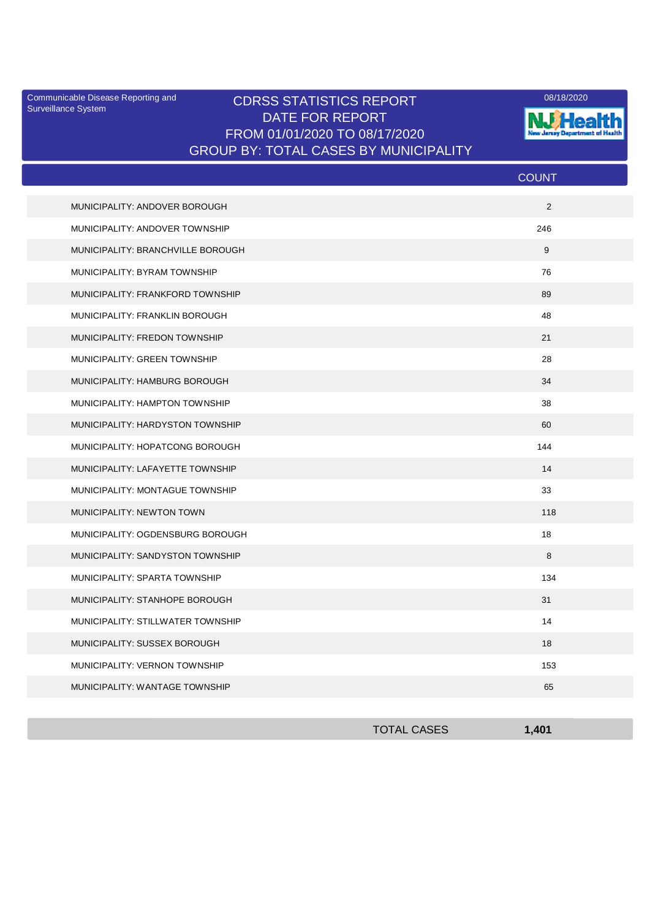Surveillance System

## Communicable Disease Reporting and CDRSS STATISTICS REPORT 2008/18/2020 DATE FOR REPORT FROM 01/01/2020 TO 08/17/2020 GROUP BY: TOTAL CASES BY MUNICIPALITY



|                                   | <b>COUNT</b> |
|-----------------------------------|--------------|
| MUNICIPALITY: ANDOVER BOROUGH     | 2            |
| MUNICIPALITY: ANDOVER TOWNSHIP    | 246          |
| MUNICIPALITY: BRANCHVILLE BOROUGH | 9            |
| MUNICIPALITY: BYRAM TOWNSHIP      | 76           |
| MUNICIPALITY: FRANKFORD TOWNSHIP  | 89           |
| MUNICIPALITY: FRANKLIN BOROUGH    | 48           |
| MUNICIPALITY: FREDON TOWNSHIP     | 21           |
| MUNICIPALITY: GREEN TOWNSHIP      | 28           |
| MUNICIPALITY: HAMBURG BOROUGH     | 34           |
| MUNICIPALITY: HAMPTON TOWNSHIP    | 38           |
| MUNICIPALITY: HARDYSTON TOWNSHIP  | 60           |
| MUNICIPALITY: HOPATCONG BOROUGH   | 144          |
| MUNICIPALITY: LAFAYETTE TOWNSHIP  | 14           |
| MUNICIPALITY: MONTAGUE TOWNSHIP   | 33           |
| <b>MUNICIPALITY: NEWTON TOWN</b>  | 118          |
| MUNICIPALITY: OGDENSBURG BOROUGH  | 18           |
| MUNICIPALITY: SANDYSTON TOWNSHIP  | 8            |
| MUNICIPALITY: SPARTA TOWNSHIP     | 134          |
| MUNICIPALITY: STANHOPE BOROUGH    | 31           |
| MUNICIPALITY: STILLWATER TOWNSHIP | 14           |
| MUNICIPALITY: SUSSEX BOROUGH      | 18           |
| MUNICIPALITY: VERNON TOWNSHIP     | 153          |
| MUNICIPALITY: WANTAGE TOWNSHIP    | 65           |

| <b>TOTAL CASES</b> | 1,401 |
|--------------------|-------|
|                    |       |